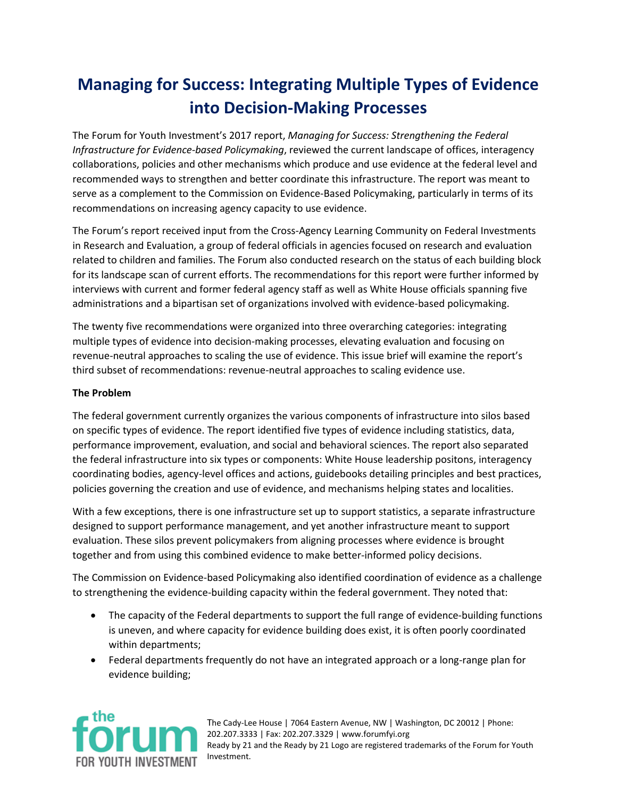## **Managing for Success: Integrating Multiple Types of Evidence into Decision-Making Processes**

The Forum for Youth Investment's 2017 report, *Managing for Success: Strengthening the Federal Infrastructure for Evidence-based Policymaking*, reviewed the current landscape of offices, interagency collaborations, policies and other mechanisms which produce and use evidence at the federal level and recommended ways to strengthen and better coordinate this infrastructure. The report was meant to serve as a complement to the Commission on Evidence-Based Policymaking, particularly in terms of its recommendations on increasing agency capacity to use evidence.

The Forum's report received input from the Cross-Agency Learning Community on Federal Investments in Research and Evaluation, a group of federal officials in agencies focused on research and evaluation related to children and families. The Forum also conducted research on the status of each building block for its landscape scan of current efforts. The recommendations for this report were further informed by interviews with current and former federal agency staff as well as White House officials spanning five administrations and a bipartisan set of organizations involved with evidence-based policymaking.

The twenty five recommendations were organized into three overarching categories: integrating multiple types of evidence into decision-making processes, elevating evaluation and focusing on revenue-neutral approaches to scaling the use of evidence. This issue brief will examine the report's third subset of recommendations: revenue-neutral approaches to scaling evidence use.

## **The Problem**

The federal government currently organizes the various components of infrastructure into silos based on specific types of evidence. The report identified five types of evidence including statistics, data, performance improvement, evaluation, and social and behavioral sciences. The report also separated the federal infrastructure into six types or components: White House leadership positons, interagency coordinating bodies, agency-level offices and actions, guidebooks detailing principles and best practices, policies governing the creation and use of evidence, and mechanisms helping states and localities.

With a few exceptions, there is one infrastructure set up to support statistics, a separate infrastructure designed to support performance management, and yet another infrastructure meant to support evaluation. These silos prevent policymakers from aligning processes where evidence is brought together and from using this combined evidence to make better-informed policy decisions.

The Commission on Evidence-based Policymaking also identified coordination of evidence as a challenge to strengthening the evidence-building capacity within the federal government. They noted that:

- The capacity of the Federal departments to support the full range of evidence-building functions is uneven, and where capacity for evidence building does exist, it is often poorly coordinated within departments;
- Federal departments frequently do not have an integrated approach or a long-range plan for evidence building;